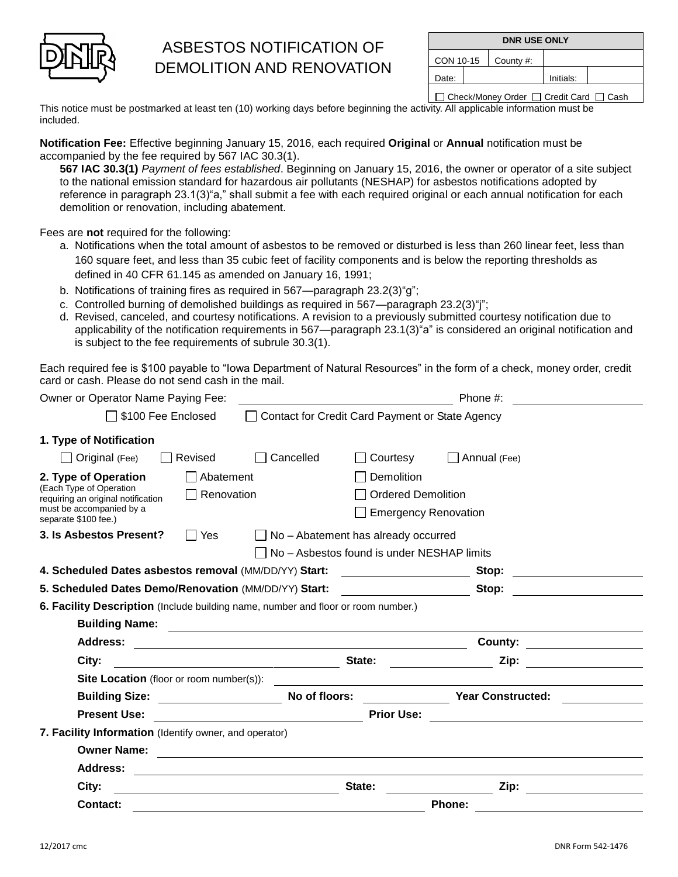

## ASBESTOS NOTIFICATION OF DEMOLITION AND RENOVATION

| <b>DNR USE ONLY</b> |  |           |           |  |
|---------------------|--|-----------|-----------|--|
| CON 10-15           |  | County #: |           |  |
| Date:               |  |           | Initials: |  |

□ Check/Money Order □ Credit Card □ Cash

This notice must be postmarked at least ten (10) working days before beginning the activity. All applicable information must be included.

**Notification Fee:** Effective beginning January 15, 2016, each required **Original** or **Annual** notification must be accompanied by the fee required by 567 IAC 30.3(1).

**567 IAC 30.3(1)** *Payment of fees established*. Beginning on January 15, 2016, the owner or operator of a site subject to the national emission standard for hazardous air pollutants (NESHAP) for asbestos notifications adopted by reference in paragraph 23.1(3)"a," shall submit a fee with each required original or each annual notification for each demolition or renovation, including abatement.

Fees are **not** required for the following:

- a. Notifications when the total amount of asbestos to be removed or disturbed is less than 260 linear feet, less than 160 square feet, and less than 35 cubic feet of facility components and is below the reporting thresholds as defined in 40 CFR 61.145 as amended on January 16, 1991;
- b. Notifications of training fires as required in 567—paragraph 23.2(3)"g";
- c. Controlled burning of demolished buildings as required in 567—paragraph 23.2(3)"j";
- d. Revised, canceled, and courtesy notifications. A revision to a previously submitted courtesy notification due to applicability of the notification requirements in 567—paragraph 23.1(3)"a" is considered an original notification and is subject to the fee requirements of subrule 30.3(1).

Each required fee is \$100 payable to "Iowa Department of Natural Resources" in the form of a check, money order, credit card or cash. Please do not send cash in the mail.

| Owner or Operator Name Paying Fee:                                                                                                        |                                                             |           |                                                                        | Phone #:                                                         |  |
|-------------------------------------------------------------------------------------------------------------------------------------------|-------------------------------------------------------------|-----------|------------------------------------------------------------------------|------------------------------------------------------------------|--|
| □ \$100 Fee Enclosed                                                                                                                      |                                                             |           | Contact for Credit Card Payment or State Agency                        |                                                                  |  |
| 1. Type of Notification                                                                                                                   |                                                             |           |                                                                        |                                                                  |  |
| Original (Fee)                                                                                                                            | Revised                                                     | Cancelled | Courtesy                                                               | $\Box$ Annual (Fee)                                              |  |
| 2. Type of Operation<br>(Each Type of Operation<br>requiring an original notification<br>must be accompanied by a<br>separate \$100 fee.) | Abatement<br>$\Box$ Renovation                              |           | Demolition<br><b>Ordered Demolition</b><br><b>Emergency Renovation</b> |                                                                  |  |
| 3. Is Asbestos Present?                                                                                                                   | l IYes                                                      |           | $\Box$ No - Abatement has already occurred                             |                                                                  |  |
|                                                                                                                                           |                                                             |           | No - Asbestos found is under NESHAP limits                             |                                                                  |  |
| 4. Scheduled Dates asbestos removal (MM/DD/YY) Start:                                                                                     |                                                             |           |                                                                        | Stop:<br><u> 1980 - Jan Samuel Barbara, martin d</u>             |  |
| 5. Scheduled Dates Demo/Renovation (MM/DD/YY) Start:                                                                                      |                                                             |           | the control of the control of the control of                           | Stop:                                                            |  |
| 6. Facility Description (Include building name, number and floor or room number.)                                                         |                                                             |           |                                                                        |                                                                  |  |
|                                                                                                                                           |                                                             |           |                                                                        |                                                                  |  |
| Address:                                                                                                                                  | <u> 1989 - Johann Stoff, amerikansk politiker (d. 1989)</u> |           |                                                                        | County:<br><u> 1989 - Andrea Station, amerikansk politiker (</u> |  |
| City:                                                                                                                                     | <u> 1980 - Johann Barn, mars eta biztanleria (h. 1980).</u> |           | State:                                                                 | Zip:                                                             |  |
|                                                                                                                                           |                                                             |           |                                                                        |                                                                  |  |
| Building Size: Mo of floors:                                                                                                              |                                                             |           |                                                                        | <b>Year Constructed:</b>                                         |  |
| <b>Present Use:</b>                                                                                                                       |                                                             |           | <b>Prior Use:</b>                                                      | <u> 1989 - Jan Stein Stein, fransk politik (f. 1989)</u>         |  |
| 7. Facility Information (Identify owner, and operator)                                                                                    |                                                             |           |                                                                        |                                                                  |  |
| <b>Owner Name:</b>                                                                                                                        |                                                             |           |                                                                        |                                                                  |  |
| Address:                                                                                                                                  |                                                             |           |                                                                        |                                                                  |  |
| City:                                                                                                                                     |                                                             |           | State:                                                                 | Zip:                                                             |  |
| Contact:                                                                                                                                  |                                                             |           |                                                                        | Phone:                                                           |  |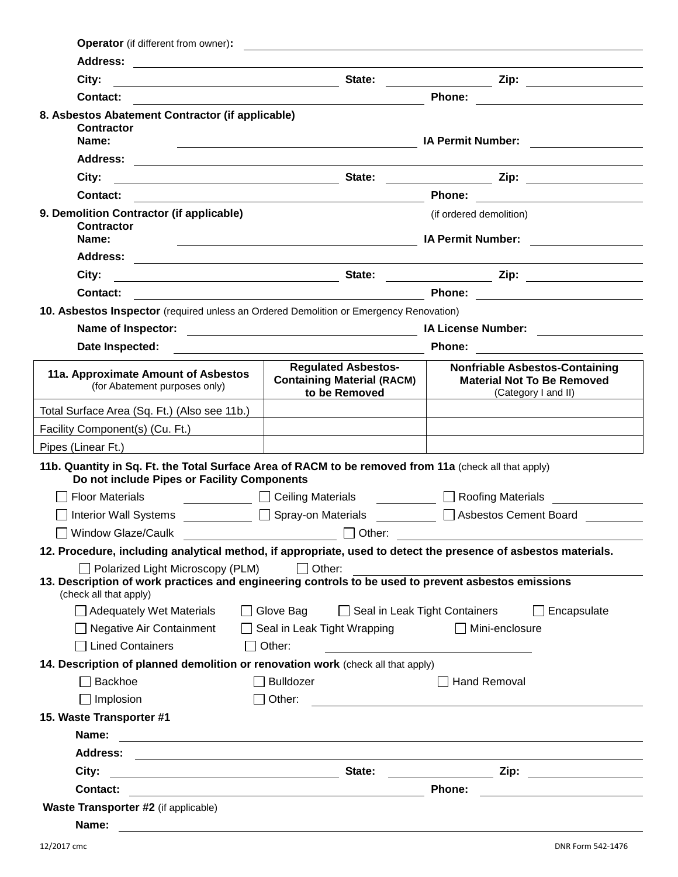| <b>Waste Transporter #2</b> (if applicable)<br>Name:                                                                          |                                                                                                                        |                                                                                                                        |  |
|-------------------------------------------------------------------------------------------------------------------------------|------------------------------------------------------------------------------------------------------------------------|------------------------------------------------------------------------------------------------------------------------|--|
| Contact:<br><u> 2008 - Andrea Andrew Maria (h. 18</u>                                                                         |                                                                                                                        | <b>Phone:</b><br><u> 1989 - John Stein, Amerikaansk politiker (</u>                                                    |  |
|                                                                                                                               | State:<br>City:<br><u> 1989 - Johann Barn, fransk politik (d. 1989)</u>                                                |                                                                                                                        |  |
|                                                                                                                               |                                                                                                                        |                                                                                                                        |  |
| Name:                                                                                                                         | <u> 1989 - Andrea Station Barbara, amerikan bahasa perangan perangan perangan perangan perangan perangan perangan</u>  |                                                                                                                        |  |
| 15. Waste Transporter #1                                                                                                      |                                                                                                                        |                                                                                                                        |  |
| $\Box$ Implosion                                                                                                              |                                                                                                                        |                                                                                                                        |  |
| Backhoe                                                                                                                       | $\Box$ Bulldozer<br><b>Hand Removal</b>                                                                                |                                                                                                                        |  |
| 14. Description of planned demolition or renovation work (check all that apply)                                               |                                                                                                                        |                                                                                                                        |  |
| <b>Lined Containers</b>                                                                                                       | $\Box$ Other:                                                                                                          | <u> 1989 - Johann Barn, mars eta inperiodoren erroman erroman erroman erroman erroman erroman erroman erroman e</u>    |  |
| □ Negative Air Containment                                                                                                    | $\Box$ Seal in Leak Tight Wrapping                                                                                     | $\Box$ Mini-enclosure                                                                                                  |  |
| Adequately Wet Materials                                                                                                      | □ Glove Bag<br>Seal in Leak Tight Containers                                                                           | $\Box$ Encapsulate                                                                                                     |  |
| 13. Description of work practices and engineering controls to be used to prevent asbestos emissions<br>(check all that apply) |                                                                                                                        |                                                                                                                        |  |
| $\Box$ Polarized Light Microscopy (PLM)                                                                                       | $\Box$ Other:                                                                                                          |                                                                                                                        |  |
| 12. Procedure, including analytical method, if appropriate, used to detect the presence of asbestos materials.                | $\overline{\phantom{a}}$ Other:                                                                                        |                                                                                                                        |  |
| □ Window Glaze/Caulk                                                                                                          |                                                                                                                        |                                                                                                                        |  |
| Interior Wall Systems □ Spray-on Materials                                                                                    | □ Ceiling Materials □ Roofing Materials                                                                                | □ Asbestos Cement Board                                                                                                |  |
| Do not include Pipes or Facility Components<br><b>Floor Materials</b>                                                         |                                                                                                                        |                                                                                                                        |  |
| 11b. Quantity in Sq. Ft. the Total Surface Area of RACM to be removed from 11a (check all that apply)                         |                                                                                                                        |                                                                                                                        |  |
|                                                                                                                               |                                                                                                                        |                                                                                                                        |  |
| Facility Component(s) (Cu. Ft.)                                                                                               |                                                                                                                        |                                                                                                                        |  |
| (for Abatement purposes only)<br>Total Surface Area (Sq. Ft.) (Also see 11b.)                                                 | to be Removed                                                                                                          | (Category I and II)                                                                                                    |  |
| 11a. Approximate Amount of Asbestos                                                                                           | <b>Regulated Asbestos-</b><br><b>Containing Material (RACM)</b>                                                        | <b>Nonfriable Asbestos-Containing</b><br><b>Material Not To Be Removed</b>                                             |  |
| Date Inspected:                                                                                                               |                                                                                                                        |                                                                                                                        |  |
|                                                                                                                               |                                                                                                                        | <b>IA License Number:</b> And Alexander and Alexander and Alexander and Alexander and Alexander and Alexander and Alex |  |
| 10. Asbestos Inspector (required unless an Ordered Demolition or Emergency Renovation)                                        |                                                                                                                        |                                                                                                                        |  |
| Contact:                                                                                                                      | <u> 1989 - Johann Barn, mars eta bainar eta baina eta baina eta baina eta baina eta baina eta baina eta baina e</u>    |                                                                                                                        |  |
| City:                                                                                                                         |                                                                                                                        |                                                                                                                        |  |
|                                                                                                                               |                                                                                                                        |                                                                                                                        |  |
| Name:                                                                                                                         | <b>IA Permit Number:</b><br><u> 1989 - Johann Barnett, fransk politiker (d. 1989)</u>                                  |                                                                                                                        |  |
| 9. Demolition Contractor (if applicable)<br><b>Contractor</b>                                                                 |                                                                                                                        | (if ordered demolition)                                                                                                |  |
| Contact:                                                                                                                      |                                                                                                                        |                                                                                                                        |  |
| City:                                                                                                                         |                                                                                                                        |                                                                                                                        |  |
| <b>Address:</b>                                                                                                               | <u> 1989 - Johann Harry Barn, mars ar y brening ar y brening ar y brening ar y brening ar y brening ar y brening a</u> |                                                                                                                        |  |
| <b>Contractor</b><br>Name:                                                                                                    | <u> Alexandria de la contrada de la contrada de la contrada de la contrada de la contrada de la contrada de la c</u>   | <b>IA Permit Number:</b>                                                                                               |  |
| <b>Contact:</b><br>8. Asbestos Abatement Contractor (if applicable)                                                           | <u> 1989 - Johann Barbara, martin amerikan basal dan berasal dan berasal dalam basal dan berasal dan berasal dan</u>   | Phone: <u>_________________</u>                                                                                        |  |
| City:                                                                                                                         |                                                                                                                        |                                                                                                                        |  |
|                                                                                                                               |                                                                                                                        |                                                                                                                        |  |
| Operator (if different from owner):                                                                                           | <u> 1989 - Johann Harry Harry Harry Harry Harry Harry Harry Harry Harry Harry Harry Harry Harry Harry Harry Harry</u>  |                                                                                                                        |  |
|                                                                                                                               |                                                                                                                        |                                                                                                                        |  |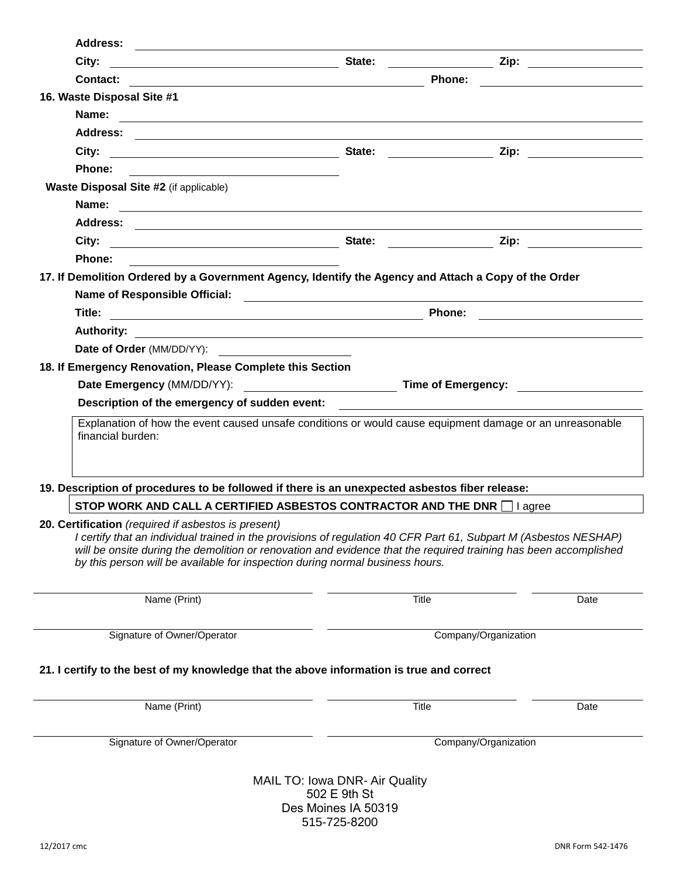| <b>Address:</b>                                                                                                                                                                                                                                                                                                                                                              |                                                                                                                                  |                      |                                                                                                                                                                                                                                     |
|------------------------------------------------------------------------------------------------------------------------------------------------------------------------------------------------------------------------------------------------------------------------------------------------------------------------------------------------------------------------------|----------------------------------------------------------------------------------------------------------------------------------|----------------------|-------------------------------------------------------------------------------------------------------------------------------------------------------------------------------------------------------------------------------------|
| City:                                                                                                                                                                                                                                                                                                                                                                        | State:                                                                                                                           |                      | $\mathsf{Zip:} \qquad \qquad \qquad \qquad \qquad \qquad$                                                                                                                                                                           |
| Contact:                                                                                                                                                                                                                                                                                                                                                                     | Phone:<br><u> 1980 - Johann Stoff, deutscher Stoffen und der Stoffen und der Stoffen und der Stoffen und der Stoffen und der</u> |                      |                                                                                                                                                                                                                                     |
| 16. Waste Disposal Site #1                                                                                                                                                                                                                                                                                                                                                   |                                                                                                                                  |                      |                                                                                                                                                                                                                                     |
| Name:<br><u> 1980 - Andrea Andrew Maria (h. 1980).</u>                                                                                                                                                                                                                                                                                                                       |                                                                                                                                  |                      |                                                                                                                                                                                                                                     |
|                                                                                                                                                                                                                                                                                                                                                                              |                                                                                                                                  |                      |                                                                                                                                                                                                                                     |
| City:<br><u> 1999 - Johann Barbara, martin amerikan personal (</u>                                                                                                                                                                                                                                                                                                           | State:                                                                                                                           |                      | <b>Zip:</b> The contract of the contract of the contract of the contract of the contract of the contract of the contract of the contract of the contract of the contract of the contract of the contract of the contract of the con |
| Phone:                                                                                                                                                                                                                                                                                                                                                                       |                                                                                                                                  |                      |                                                                                                                                                                                                                                     |
| Waste Disposal Site #2 (if applicable)                                                                                                                                                                                                                                                                                                                                       |                                                                                                                                  |                      |                                                                                                                                                                                                                                     |
| Name:<br><u> 1989 - Andrea Barbara, amerikan personal di personal dengan personal dengan personal dengan personal dengan </u>                                                                                                                                                                                                                                                |                                                                                                                                  |                      |                                                                                                                                                                                                                                     |
| <b>Address:</b>                                                                                                                                                                                                                                                                                                                                                              |                                                                                                                                  |                      |                                                                                                                                                                                                                                     |
| City:<br><u> 1989 - Andrea State Barbara, amerikan personal di sebagai personal di sebagai personal di sebagai personal d</u>                                                                                                                                                                                                                                                | State:                                                                                                                           | Zip:                 |                                                                                                                                                                                                                                     |
| Phone:                                                                                                                                                                                                                                                                                                                                                                       |                                                                                                                                  |                      |                                                                                                                                                                                                                                     |
| 17. If Demolition Ordered by a Government Agency, Identify the Agency and Attach a Copy of the Order                                                                                                                                                                                                                                                                         |                                                                                                                                  |                      |                                                                                                                                                                                                                                     |
|                                                                                                                                                                                                                                                                                                                                                                              |                                                                                                                                  |                      |                                                                                                                                                                                                                                     |
| Title:                                                                                                                                                                                                                                                                                                                                                                       |                                                                                                                                  | <b>Phone:</b>        |                                                                                                                                                                                                                                     |
| <b>Authority:</b>                                                                                                                                                                                                                                                                                                                                                            | <u> 1980 - Jan Barat, amerikan bahasa perang berakhir pendadaran perang berakhir perang berakhir perang berakhir</u>             |                      |                                                                                                                                                                                                                                     |
| Date of Order (MM/DD/YY):                                                                                                                                                                                                                                                                                                                                                    |                                                                                                                                  |                      |                                                                                                                                                                                                                                     |
| 18. If Emergency Renovation, Please Complete this Section                                                                                                                                                                                                                                                                                                                    |                                                                                                                                  |                      |                                                                                                                                                                                                                                     |
|                                                                                                                                                                                                                                                                                                                                                                              |                                                                                                                                  |                      |                                                                                                                                                                                                                                     |
| Description of the emergency of sudden event: __________________________________                                                                                                                                                                                                                                                                                             |                                                                                                                                  |                      |                                                                                                                                                                                                                                     |
| financial burden:                                                                                                                                                                                                                                                                                                                                                            |                                                                                                                                  |                      |                                                                                                                                                                                                                                     |
| 19. Description of procedures to be followed if there is an unexpected asbestos fiber release:                                                                                                                                                                                                                                                                               |                                                                                                                                  |                      |                                                                                                                                                                                                                                     |
| STOP WORK AND CALL A CERTIFIED ASBESTOS CONTRACTOR AND THE DNR I agree                                                                                                                                                                                                                                                                                                       |                                                                                                                                  |                      |                                                                                                                                                                                                                                     |
| 20. Certification (required if asbestos is present)<br>I certify that an individual trained in the provisions of regulation 40 CFR Part 61, Subpart M (Asbestos NESHAP)<br>will be onsite during the demolition or renovation and evidence that the required training has been accomplished<br>by this person will be available for inspection during normal business hours. |                                                                                                                                  |                      |                                                                                                                                                                                                                                     |
| Name (Print)                                                                                                                                                                                                                                                                                                                                                                 | <b>Title</b>                                                                                                                     |                      | Date                                                                                                                                                                                                                                |
| Signature of Owner/Operator                                                                                                                                                                                                                                                                                                                                                  |                                                                                                                                  | Company/Organization |                                                                                                                                                                                                                                     |
| 21. I certify to the best of my knowledge that the above information is true and correct                                                                                                                                                                                                                                                                                     |                                                                                                                                  |                      |                                                                                                                                                                                                                                     |
| Name (Print)                                                                                                                                                                                                                                                                                                                                                                 | <b>Title</b>                                                                                                                     |                      | Date                                                                                                                                                                                                                                |
| Signature of Owner/Operator                                                                                                                                                                                                                                                                                                                                                  |                                                                                                                                  | Company/Organization |                                                                                                                                                                                                                                     |
|                                                                                                                                                                                                                                                                                                                                                                              |                                                                                                                                  |                      |                                                                                                                                                                                                                                     |
|                                                                                                                                                                                                                                                                                                                                                                              | MAIL TO: Iowa DNR- Air Quality                                                                                                   |                      |                                                                                                                                                                                                                                     |
|                                                                                                                                                                                                                                                                                                                                                                              | 502 E 9th St                                                                                                                     |                      |                                                                                                                                                                                                                                     |
|                                                                                                                                                                                                                                                                                                                                                                              | Des Moines IA 50319                                                                                                              |                      |                                                                                                                                                                                                                                     |

515-725-8200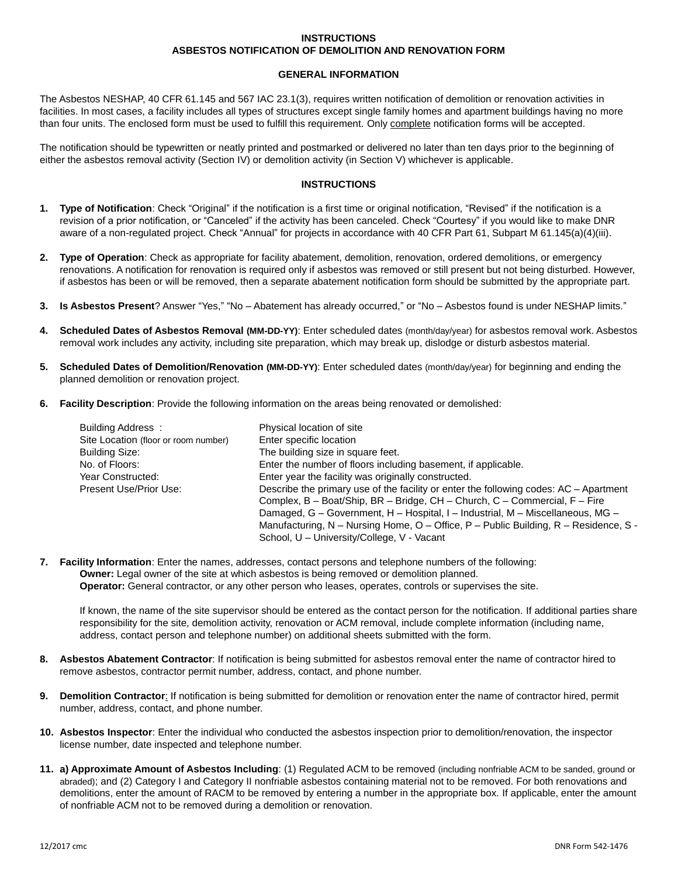## **INSTRUCTIONS ASBESTOS NOTIFICATION OF DEMOLITION AND RENOVATION FORM**

## **GENERAL INFORMATION**

The Asbestos NESHAP, 40 CFR 61.145 and 567 IAC 23.1(3), requires written notification of demolition or renovation activities in facilities. In most cases, a facility includes all types of structures except single family homes and apartment buildings having no more than four units. The enclosed form must be used to fulfill this requirement. Only complete notification forms will be accepted.

The notification should be typewritten or neatly printed and postmarked or delivered no later than ten days prior to the beginning of either the asbestos removal activity (Section IV) or demolition activity (in Section V) whichever is applicable.

## **INSTRUCTIONS**

- **1. Type of Notification**: Check "Original" if the notification is a first time or original notification, "Revised" if the notification is a revision of a prior notification, or "Canceled" if the activity has been canceled. Check "Courtesy" if you would like to make DNR aware of a non-regulated project. Check "Annual" for projects in accordance with 40 CFR Part 61, Subpart M 61.145(a)(4)(iii).
- **2. Type of Operation**: Check as appropriate for facility abatement, demolition, renovation, ordered demolitions, or emergency renovations. A notification for renovation is required only if asbestos was removed or still present but not being disturbed. However, if asbestos has been or will be removed, then a separate abatement notification form should be submitted by the appropriate part.
- **3. Is Asbestos Present**? Answer "Yes," "No Abatement has already occurred," or "No Asbestos found is under NESHAP limits."
- **4. Scheduled Dates of Asbestos Removal (MM-DD-YY)**: Enter scheduled dates (month/day/year) for asbestos removal work. Asbestos removal work includes any activity, including site preparation, which may break up, dislodge or disturb asbestos material.
- **5. Scheduled Dates of Demolition/Renovation (MM-DD-YY)**: Enter scheduled dates (month/day/year) for beginning and ending the planned demolition or renovation project.
- **6. Facility Description**: Provide the following information on the areas being renovated or demolished:

| Building Address:                    | Physical location of site                                                             |
|--------------------------------------|---------------------------------------------------------------------------------------|
| Site Location (floor or room number) | Enter specific location                                                               |
| <b>Building Size:</b>                | The building size in square feet.                                                     |
| No. of Floors:                       | Enter the number of floors including basement, if applicable.                         |
| Year Constructed:                    | Enter year the facility was originally constructed.                                   |
| Present Use/Prior Use:               | Describe the primary use of the facility or enter the following codes: AC – Apartment |
|                                      | Complex, B - Boat/Ship, BR - Bridge, CH - Church, C - Commercial, F - Fire            |
|                                      | Damaged, G – Government, H – Hospital, I – Industrial, M – Miscellaneous, MG –        |
|                                      | Manufacturing, N – Nursing Home, O – Office, P – Public Building, R – Residence, S -  |
|                                      | School, U - University/College, V - Vacant                                            |

**7. Facility Information**: Enter the names, addresses, contact persons and telephone numbers of the following: **Owner:** Legal owner of the site at which asbestos is being removed or demolition planned. **Operator:** General contractor, or any other person who leases, operates, controls or supervises the site.

If known, the name of the site supervisor should be entered as the contact person for the notification. If additional parties share responsibility for the site, demolition activity, renovation or ACM removal, include complete information (including name, address, contact person and telephone number) on additional sheets submitted with the form.

- **8. Asbestos Abatement Contractor**: If notification is being submitted for asbestos removal enter the name of contractor hired to remove asbestos, contractor permit number, address, contact, and phone number.
- **9. Demolition Contractor**: If notification is being submitted for demolition or renovation enter the name of contractor hired, permit number, address, contact, and phone number.
- **10. Asbestos Inspector**: Enter the individual who conducted the asbestos inspection prior to demolition/renovation, the inspector license number, date inspected and telephone number.
- **11. a) Approximate Amount of Asbestos Including**: (1) Regulated ACM to be removed (including nonfriable ACM to be sanded, ground or abraded); and (2) Category I and Category II nonfriable asbestos containing material not to be removed. For both renovations and demolitions, enter the amount of RACM to be removed by entering a number in the appropriate box. If applicable, enter the amount of nonfriable ACM not to be removed during a demolition or renovation.